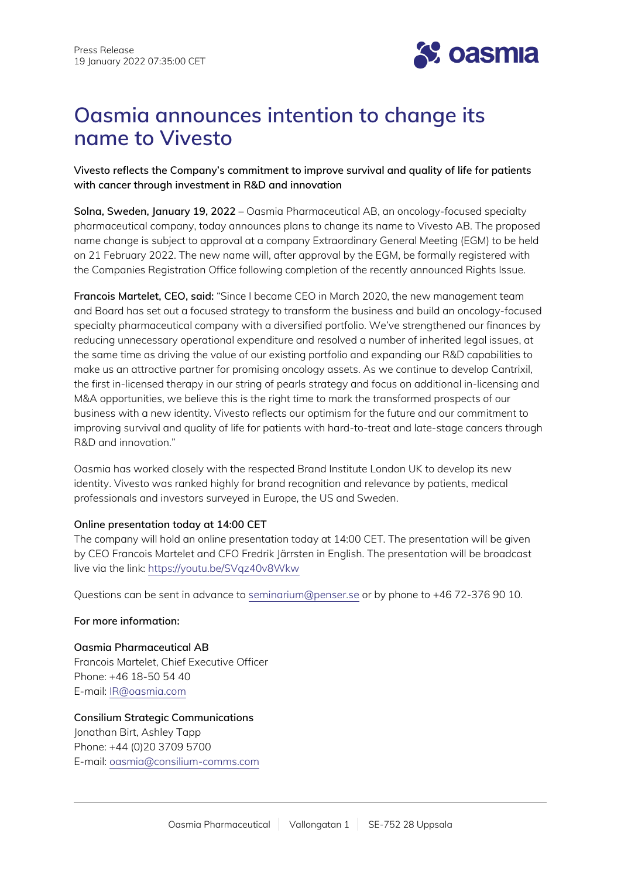

# **Oasmia announces intention to change its name to Vivesto**

**Vivesto reflects the Company's commitment to improve survival and quality of life for patients with cancer through investment in R&D and innovation**

**Solna, Sweden, January 19, 2022** – Oasmia Pharmaceutical AB, an oncology-focused specialty pharmaceutical company, today announces plans to change its name to Vivesto AB. The proposed name change is subject to approval at a company Extraordinary General Meeting (EGM) to be held on 21 February 2022. The new name will, after approval by the EGM, be formally registered with the Companies Registration Office following completion of the recently announced Rights Issue.

**Francois Martelet, CEO, said:** "Since I became CEO in March 2020, the new management team and Board has set out a focused strategy to transform the business and build an oncology-focused specialty pharmaceutical company with a diversified portfolio. We've strengthened our finances by reducing unnecessary operational expenditure and resolved a number of inherited legal issues, at the same time as driving the value of our existing portfolio and expanding our R&D capabilities to make us an attractive partner for promising oncology assets. As we continue to develop Cantrixil, the first in-licensed therapy in our string of pearls strategy and focus on additional in-licensing and M&A opportunities, we believe this is the right time to mark the transformed prospects of our business with a new identity. Vivesto reflects our optimism for the future and our commitment to improving survival and quality of life for patients with hard-to-treat and late-stage cancers through R&D and innovation."

Oasmia has worked closely with the respected Brand Institute London UK to develop its new identity. Vivesto was ranked highly for brand recognition and relevance by patients, medical professionals and investors surveyed in Europe, the US and Sweden.

## **Online presentation today at 14:00 CET**

The company will hold an online presentation today at 14:00 CET. The presentation will be given by CEO Francois Martelet and CFO Fredrik Järrsten in English. The presentation will be broadcast live via the link: <https://youtu.be/SVqz40v8Wkw>

Questions can be sent in advance to [seminarium@penser.se](mailto:seminarium@penser.se) or by phone to +46 72-376 90 10.

# **For more information:**

**Oasmia Pharmaceutical AB** Francois Martelet, Chief Executive Officer Phone: +46 18-50 54 40 E-mail: [IR@oasmia.com](mailto:IR@oasmia.com)

**Consilium Strategic Communications**  Jonathan Birt, Ashley Tapp Phone: +44 (0)20 3709 5700 E-mail: [oasmia@consilium-comms.com](mailto:oasmia@consilium-comms.com)